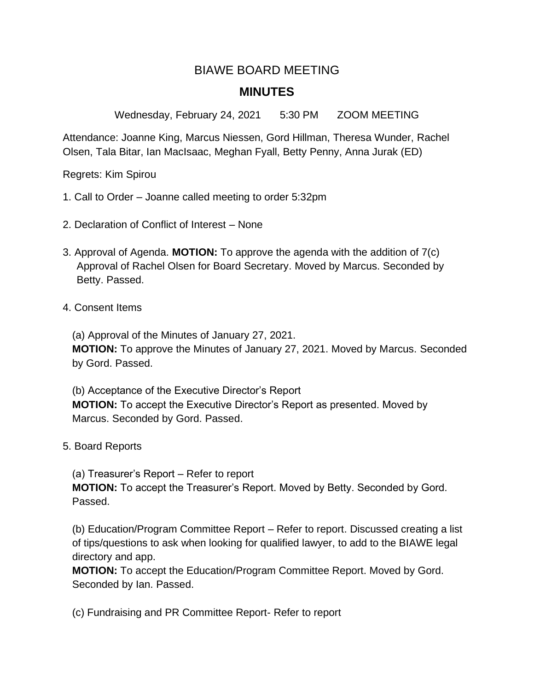## BIAWE BOARD MEETING **MINUTES**

Wednesday, February 24, 2021 5:30 PM ZOOM MEETING

Attendance: Joanne King, Marcus Niessen, Gord Hillman, Theresa Wunder, Rachel Olsen, Tala Bitar, Ian MacIsaac, Meghan Fyall, Betty Penny, Anna Jurak (ED)

Regrets: Kim Spirou

- 1. Call to Order Joanne called meeting to order 5:32pm
- 2. Declaration of Conflict of Interest None
- 3. Approval of Agenda. **MOTION:** To approve the agenda with the addition of 7(c) Approval of Rachel Olsen for Board Secretary. Moved by Marcus. Seconded by Betty. Passed.
- 4. Consent Items

(a) Approval of the Minutes of January 27, 2021.

 **MOTION:** To approve the Minutes of January 27, 2021. Moved by Marcus. Seconded by Gord. Passed.

 (b) Acceptance of the Executive Director's Report **MOTION:** To accept the Executive Director's Report as presented. Moved by Marcus. Seconded by Gord. Passed.

5. Board Reports

(a) Treasurer's Report – Refer to report

 **MOTION:** To accept the Treasurer's Report. Moved by Betty. Seconded by Gord. Passed.

 (b) Education/Program Committee Report – Refer to report. Discussed creating a list of tips/questions to ask when looking for qualified lawyer, to add to the BIAWE legal directory and app.

 **MOTION:** To accept the Education/Program Committee Report. Moved by Gord. Seconded by Ian. Passed.

(c) Fundraising and PR Committee Report- Refer to report